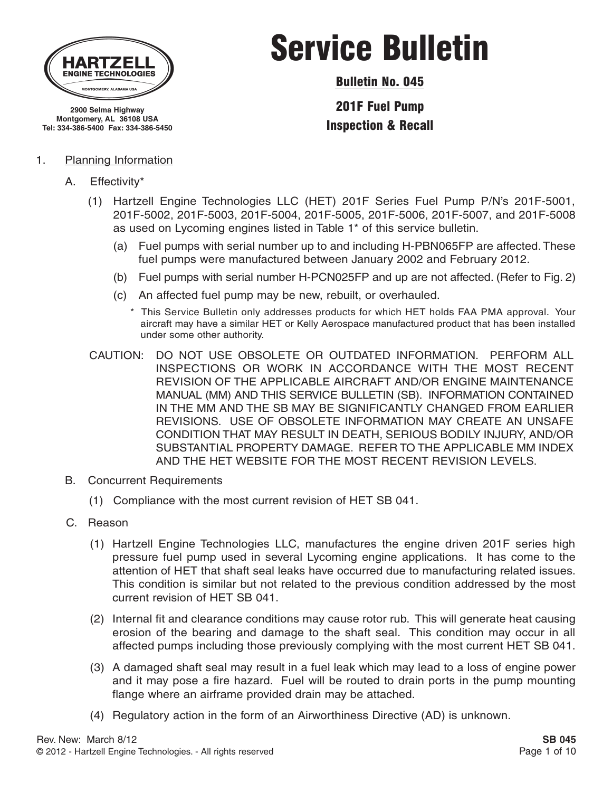

Bulletin No. 045

201F Fuel Pump Inspection & Recall

#### **2900 Selma Highway Montgomery, AL 36108 USA Tel: 334-386-5400 Fax: 334-386-5450**

#### 1. Planning Information

- A. Effectivity\*
	- (1) Hartzell Engine Technologies LLC (HET) 201F Series Fuel Pump P/N's 201F-5001, 201F-5002, 201F-5003, 201F-5004, 201F-5005, 201F-5006, 201F-5007, and 201F-5008 as used on Lycoming engines listed in Table 1\* of this service bulletin.
		- (a) Fuel pumps with serial number up to and including H-PBN065FP are affected. These fuel pumps were manufactured between January 2002 and February 2012.
		- (b) Fuel pumps with serial number H-PCN025FP and up are not affected. (Refer to Fig. 2)
		- (c) An affected fuel pump may be new, rebuilt, or overhauled.
			- \* This Service Bulletin only addresses products for which HET holds FAA PMA approval. Your aircraft may have a similar HET or Kelly Aerospace manufactured product that has been installed under some other authority.
	- CAUTION: DO NOT USE OBSOLETE OR OUTDATED INFORMATION. PERFORM ALL INSPECTIONS OR WORK IN ACCORDANCE WITH THE MOST RECENT REVISION OF THE APPLICABLE AIRCRAFT AND/OR ENGINE MAINTENANCE MANUAL (MM) AND THIS SERVICE BULLETIN (SB). INFORMATION CONTAINED IN THE MM AND THE SB MAY BE SIGNIFICANTLY CHANGED FROM EARLIER REVISIONS. USE OF OBSOLETE INFORMATION MAY CREATE AN UNSAFE CONDITION THAT MAY RESULT IN DEATH, SERIOUS BODILY INJURY, AND/OR SUBSTANTIAL PROPERTY DAMAGE. REFER TO THE APPLICABLE MM INDEX AND THE HET WEBSITE FOR THE MOST RECENT REVISION LEVELS.
- B. Concurrent Requirements
	- (1) Compliance with the most current revision of HET SB 041.
- C. Reason
	- (1) Hartzell Engine Technologies LLC, manufactures the engine driven 201F series high pressure fuel pump used in several Lycoming engine applications. It has come to the attention of HET that shaft seal leaks have occurred due to manufacturing related issues. This condition is similar but not related to the previous condition addressed by the most current revision of HET SB 041.
	- (2) Internal fit and clearance conditions may cause rotor rub. This will generate heat causing erosion of the bearing and damage to the shaft seal. This condition may occur in all affected pumps including those previously complying with the most current HET SB 041.
	- (3) A damaged shaft seal may result in a fuel leak which may lead to a loss of engine power and it may pose a fire hazard. Fuel will be routed to drain ports in the pump mounting flange where an airframe provided drain may be attached.
	- (4) Regulatory action in the form of an Airworthiness Directive (AD) is unknown.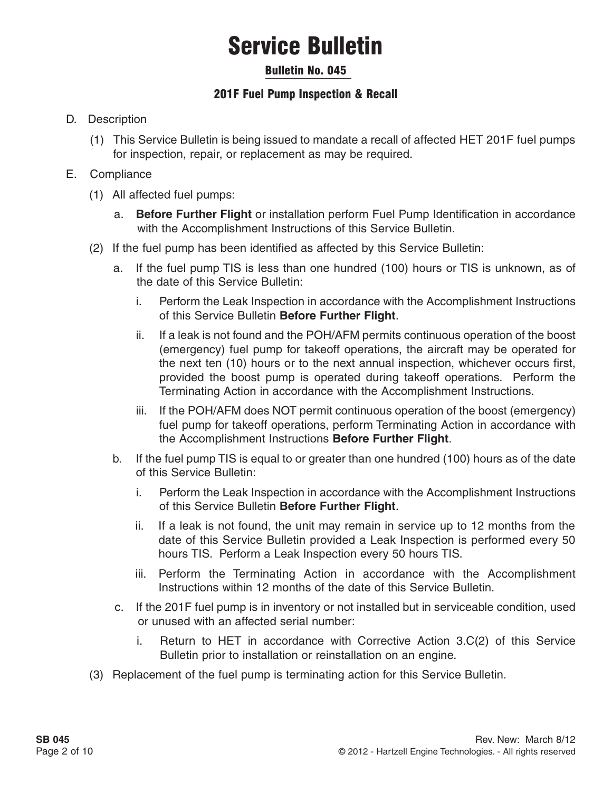#### Bulletin No. 045

### 201F Fuel Pump Inspection & Recall

#### D. Description

(1) This Service Bulletin is being issued to mandate a recall of affected HET 201F fuel pumps for inspection, repair, or replacement as may be required.

#### E. Compliance

- (1) All affected fuel pumps:
	- a. **Before Further Flight** or installation perform Fuel Pump Identification in accordance with the Accomplishment Instructions of this Service Bulletin.
- (2) If the fuel pump has been identified as affected by this Service Bulletin:
	- a. If the fuel pump TIS is less than one hundred (100) hours or TIS is unknown, as of the date of this Service Bulletin:
		- i. Perform the Leak Inspection in accordance with the Accomplishment Instructions of this Service Bulletin **Before Further Flight**.
		- ii. If a leak is not found and the POH/AFM permits continuous operation of the boost (emergency) fuel pump for takeoff operations, the aircraft may be operated for the next ten (10) hours or to the next annual inspection, whichever occurs first, provided the boost pump is operated during takeoff operations. Perform the Terminating Action in accordance with the Accomplishment Instructions.
		- iii. If the POH/AFM does NOT permit continuous operation of the boost (emergency) fuel pump for takeoff operations, perform Terminating Action in accordance with the Accomplishment Instructions **Before Further Flight**.
	- b. If the fuel pump TIS is equal to or greater than one hundred (100) hours as of the date of this Service Bulletin:
		- i. Perform the Leak Inspection in accordance with the Accomplishment Instructions of this Service Bulletin **Before Further Flight**.
		- ii. If a leak is not found, the unit may remain in service up to 12 months from the date of this Service Bulletin provided a Leak Inspection is performed every 50 hours TIS. Perform a Leak Inspection every 50 hours TIS.
		- iii. Perform the Terminating Action in accordance with the Accomplishment Instructions within 12 months of the date of this Service Bulletin.
	- c. If the 201F fuel pump is in inventory or not installed but in serviceable condition, used or unused with an affected serial number:
		- i. Return to HET in accordance with Corrective Action 3.C(2) of this Service Bulletin prior to installation or reinstallation on an engine.
- (3) Replacement of the fuel pump is terminating action for this Service Bulletin.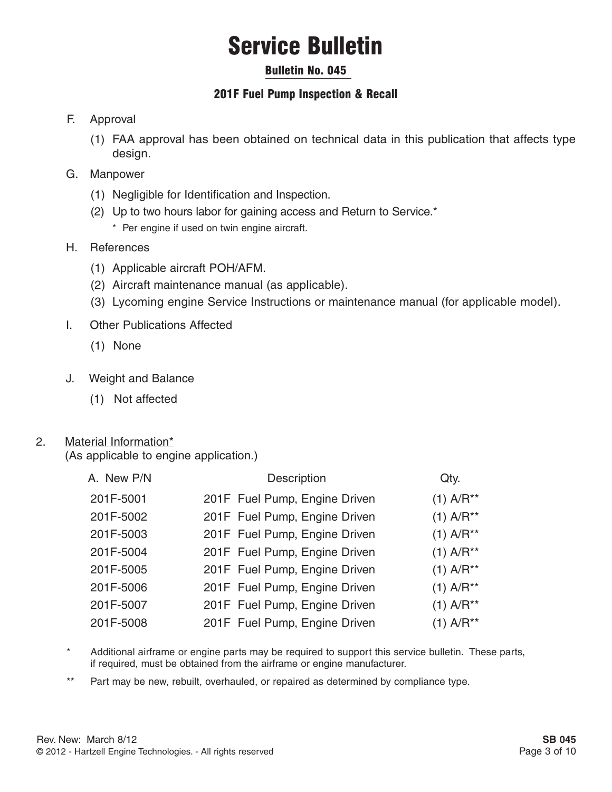#### Bulletin No. 045

### 201F Fuel Pump Inspection & Recall

#### F. Approval

- (1) FAA approval has been obtained on technical data in this publication that affects type design.
- G. Manpower
	- (1) Negligible for Identification and Inspection.
	- (2) Up to two hours labor for gaining access and Return to Service.\* \* Per engine if used on twin engine aircraft.
- H. References
	- (1) Applicable aircraft POH/AFM.
	- (2) Aircraft maintenance manual (as applicable).
	- (3) Lycoming engine Service Instructions or maintenance manual (for applicable model).
- I. Other Publications Affected
	- (1) None
- J. Weight and Balance
	- (1) Not affected
- 2. Material Information\*

(As applicable to engine application.)

| A. New P/N | Description                   | Qty.                    |
|------------|-------------------------------|-------------------------|
| 201F-5001  | 201F Fuel Pump, Engine Driven | $(1)$ A/R <sup>**</sup> |
| 201F-5002  | 201F Fuel Pump, Engine Driven | $(1)$ A/R <sup>**</sup> |
| 201F-5003  | 201F Fuel Pump, Engine Driven | $(1)$ A/R <sup>**</sup> |
| 201F-5004  | 201F Fuel Pump, Engine Driven | $(1)$ A/R <sup>**</sup> |
| 201F-5005  | 201F Fuel Pump, Engine Driven | $(1)$ A/R <sup>**</sup> |
| 201F-5006  | 201F Fuel Pump, Engine Driven | $(1)$ A/R <sup>**</sup> |
| 201F-5007  | 201F Fuel Pump, Engine Driven | $(1)$ A/R <sup>**</sup> |
| 201F-5008  | 201F Fuel Pump, Engine Driven | $(1)$ A/R <sup>**</sup> |

- \* Additional airframe or engine parts may be required to support this service bulletin. These parts, if required, must be obtained from the airframe or engine manufacturer.
- \*\* Part may be new, rebuilt, overhauled, or repaired as determined by compliance type.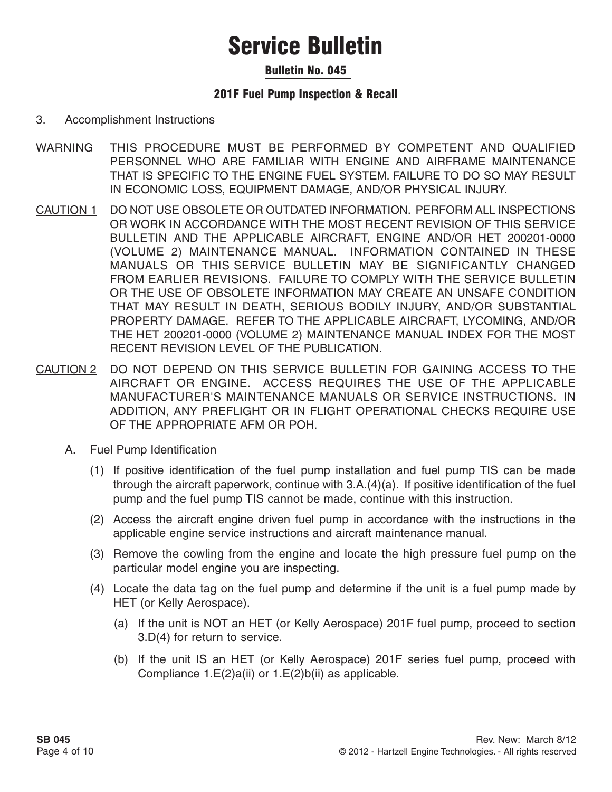#### Bulletin No. 045

#### 201F Fuel Pump Inspection & Recall

#### 3. Accomplishment Instructions

- WARNING THIS PROCEDURE MUST BE PERFORMED BY COMPETENT AND QUALIFIED PERSONNEL WHO ARE FAMILIAR WITH ENGINE AND AIRFRAME MAINTENANCE THAT IS SPECIFIC TO THE ENGINE FUEL SYSTEM. FAILURE TO DO SO MAY RESULT IN ECONOMIC LOSS, EQUIPMENT DAMAGE, AND/OR PHYSICAL INJURY.
- CAUTION 1 DO NOT USE OBSOLETE OR OUTDATED INFORMATION. PERFORM ALL INSPECTIONS OR WORK IN ACCORDANCE WITH THE MOST RECENT REVISION OF THIS SERVICE BULLETIN AND THE APPLICABLE AIRCRAFT, ENGINE AND/OR HET 200201-0000 (VOLUME 2) MAINTENANCE MANUAL. INFORMATION CONTAINED IN THESE MANUALS OR THIS SERVICE BULLETIN MAY BE SIGNIFICANTLY CHANGED FROM EARLIER REVISIONS. FAILURE TO COMPLY WITH THE SERVICE BULLETIN OR THE USE OF OBSOLETE INFORMATION MAY CREATE AN UNSAFE CONDITION THAT MAY RESULT IN DEATH, SERIOUS BODILY INJURY, AND/OR SUBSTANTIAL PROPERTY DAMAGE. REFER TO THE APPLICABLE AIRCRAFT, LYCOMING, AND/OR THE HET 200201-0000 (VOLUME 2) MAINTENANCE MANUAL INDEX FOR THE MOST RECENT REVISION LEVEL OF THE PUBLICATION.
- CAUTION 2 DO NOT DEPEND ON THIS SERVICE BULLETIN FOR GAINING ACCESS TO THE AIRCRAFT OR ENGINE. ACCESS REQUIRES THE USE OF THE APPLICABLE MANUFACTURER'S MAINTENANCE MANUALS OR SERVICE INSTRUCTIONS. IN ADDITION, ANY PREFLIGHT OR IN FLIGHT OPERATIONAL CHECKS REQUIRE USE OF THE APPROPRIATE AFM OR POH.
	- A. Fuel Pump Identification
		- (1) If positive identification of the fuel pump installation and fuel pump TIS can be made through the aircraft paperwork, continue with 3.A.(4)(a). If positive identification of the fuel pump and the fuel pump TIS cannot be made, continue with this instruction.
		- (2) Access the aircraft engine driven fuel pump in accordance with the instructions in the applicable engine service instructions and aircraft maintenance manual.
		- (3) Remove the cowling from the engine and locate the high pressure fuel pump on the particular model engine you are inspecting.
		- (4) Locate the data tag on the fuel pump and determine if the unit is a fuel pump made by HET (or Kelly Aerospace).
			- (a) If the unit is NOT an HET (or Kelly Aerospace) 201F fuel pump, proceed to section 3.D(4) for return to service.
			- (b) If the unit IS an HET (or Kelly Aerospace) 201F series fuel pump, proceed with Compliance 1.E(2)a(ii) or 1.E(2)b(ii) as applicable.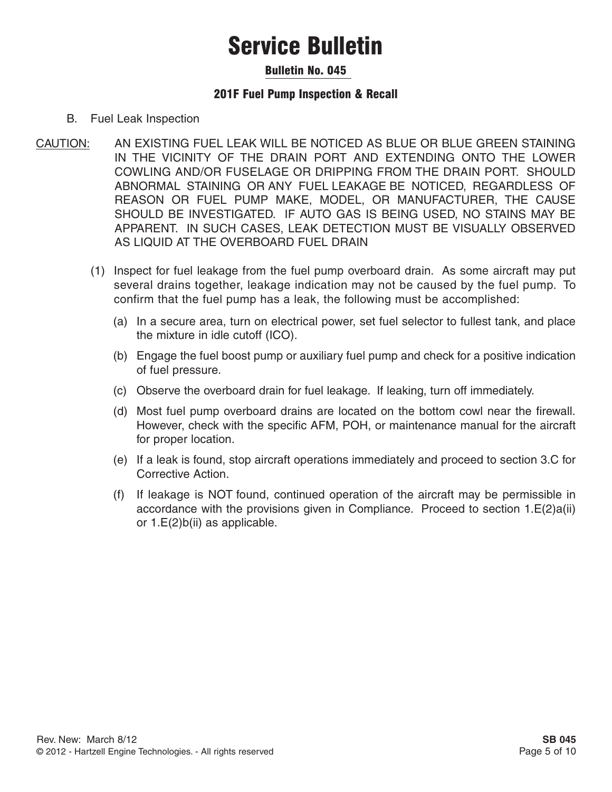#### Bulletin No. 045

#### 201F Fuel Pump Inspection & Recall

- B. Fuel Leak Inspection
- CAUTION: AN EXISTING FUEL LEAK WILL BE NOTICED AS BLUE OR BLUE GREEN STAINING IN THE VICINITY OF THE DRAIN PORT AND EXTENDING ONTO THE LOWER COWLING AND/OR FUSELAGE OR DRIPPING FROM THE DRAIN PORT. SHOULD ABNORMAL STAINING OR ANY FUEL LEAKAGE BE NOTICED, REGARDLESS OF REASON OR FUEL PUMP MAKE, MODEL, OR MANUFACTURER, THE CAUSE SHOULD BE INVESTIGATED. IF AUTO GAS IS BEING USED, NO STAINS MAY BE APPARENT. IN SUCH CASES, LEAK DETECTION MUST BE VISUALLY OBSERVED AS LIQUID AT THE OVERBOARD FUEL DRAIN
	- (1) Inspect for fuel leakage from the fuel pump overboard drain. As some aircraft may put several drains together, leakage indication may not be caused by the fuel pump. To confirm that the fuel pump has a leak, the following must be accomplished:
		- (a) In a secure area, turn on electrical power, set fuel selector to fullest tank, and place the mixture in idle cutoff (ICO).
		- (b) Engage the fuel boost pump or auxiliary fuel pump and check for a positive indication of fuel pressure.
		- (c) Observe the overboard drain for fuel leakage. If leaking, turn off immediately.
		- (d) Most fuel pump overboard drains are located on the bottom cowl near the firewall. However, check with the specific AFM, POH, or maintenance manual for the aircraft for proper location.
		- (e) If a leak is found, stop aircraft operations immediately and proceed to section 3.C for Corrective Action.
		- (f) If leakage is NOT found, continued operation of the aircraft may be permissible in accordance with the provisions given in Compliance. Proceed to section  $1.E(2)a(ii)$ or 1.E(2)b(ii) as applicable.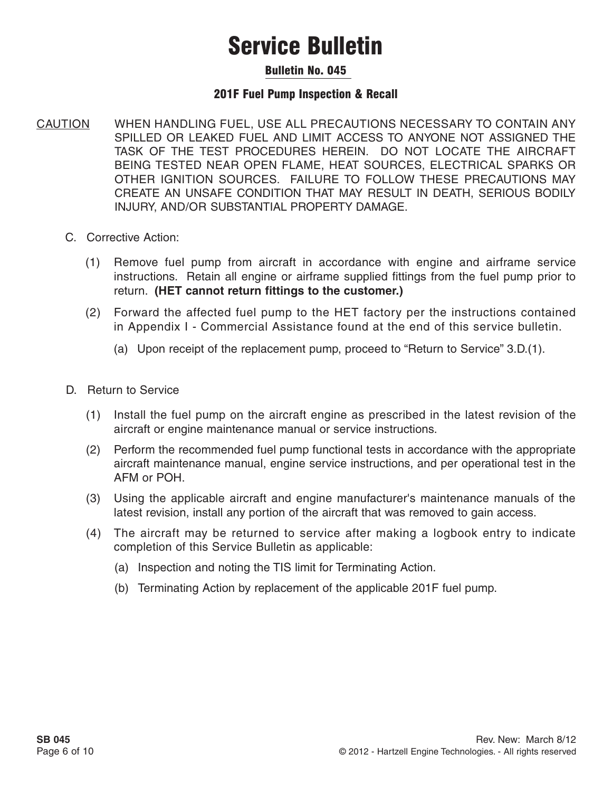#### Bulletin No. 045

#### 201F Fuel Pump Inspection & Recall

- CAUTION WHEN HANDLING FUEL, USE ALL PRECAUTIONS NECESSARY TO CONTAIN ANY SPILLED OR LEAKED FUEL AND LIMIT ACCESS TO ANYONE NOT ASSIGNED THE TASK OF THE TEST PROCEDURES HEREIN. DO NOT LOCATE THE AIRCRAFT BEING TESTED NEAR OPEN FLAME, HEAT SOURCES, ELECTRICAL SPARKS OR OTHER IGNITION SOURCES. FAILURE TO FOLLOW THESE PRECAUTIONS MAY CREATE AN UNSAFE CONDITION THAT MAY RESULT IN DEATH, SERIOUS BODILY INJURY, AND/OR SUBSTANTIAL PROPERTY DAMAGE.
	- C. Corrective Action:
		- (1) Remove fuel pump from aircraft in accordance with engine and airframe service instructions. Retain all engine or airframe supplied fittings from the fuel pump prior to return. **(HET cannot return fittings to the customer.)**
		- (2) Forward the affected fuel pump to the HET factory per the instructions contained in Appendix I - Commercial Assistance found at the end of this service bulletin.
			- (a) Upon receipt of the replacement pump, proceed to "Return to Service" 3.D.(1).
	- D. Return to Service
		- (1) Install the fuel pump on the aircraft engine as prescribed in the latest revision of the aircraft or engine maintenance manual or service instructions.
		- (2) Perform the recommended fuel pump functional tests in accordance with the appropriate aircraft maintenance manual, engine service instructions, and per operational test in the AFM or POH.
		- (3) Using the applicable aircraft and engine manufacturer's maintenance manuals of the latest revision, install any portion of the aircraft that was removed to gain access.
		- (4) The aircraft may be returned to service after making a logbook entry to indicate completion of this Service Bulletin as applicable:
			- (a) Inspection and noting the TIS limit for Terminating Action.
			- (b) Terminating Action by replacement of the applicable 201F fuel pump.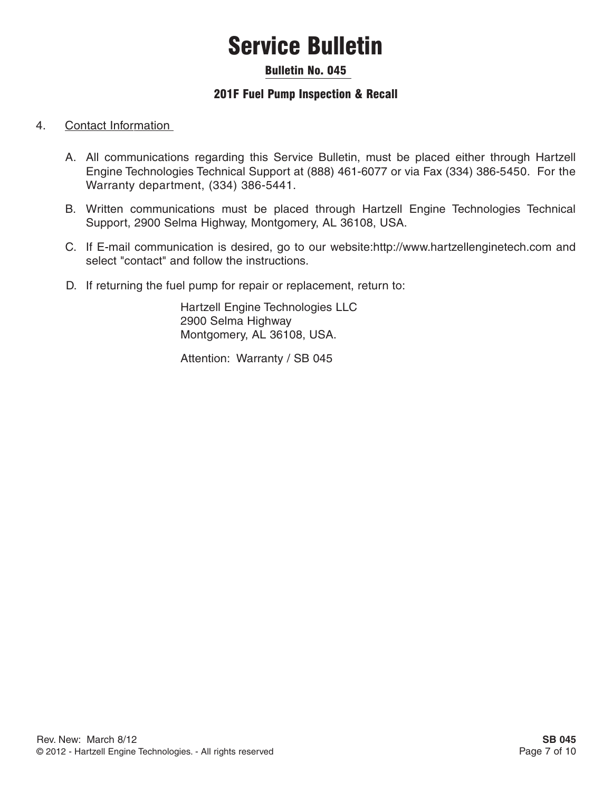#### Bulletin No. 045

#### 201F Fuel Pump Inspection & Recall

#### 4. Contact Information

- A. All communications regarding this Service Bulletin, must be placed either through Hartzell Engine Technologies Technical Support at (888) 461-6077 or via Fax (334) 386-5450. For the Warranty department, (334) 386-5441.
- B. Written communications must be placed through Hartzell Engine Technologies Technical Support, 2900 Selma Highway, Montgomery, AL 36108, USA.
- C. If E-mail communication is desired, go to our website:http://www.hartzellenginetech.com and select "contact" and follow the instructions.
- D. If returning the fuel pump for repair or replacement, return to:

Hartzell Engine Technologies LLC 2900 Selma Highway Montgomery, AL 36108, USA.

Attention: Warranty / SB 045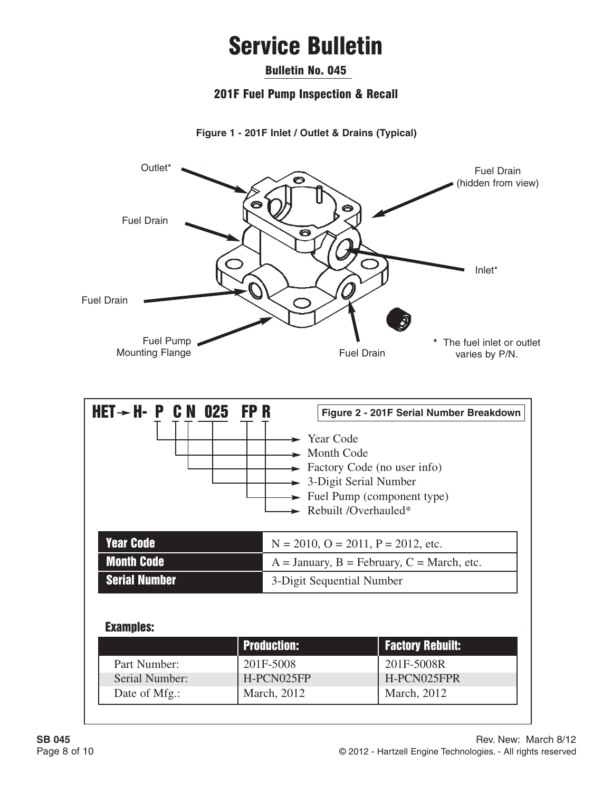#### Bulletin No. 045

#### 201F Fuel Pump Inspection & Recall

**Figure 1 - 201F Inlet / Outlet & Drains (Typical)**

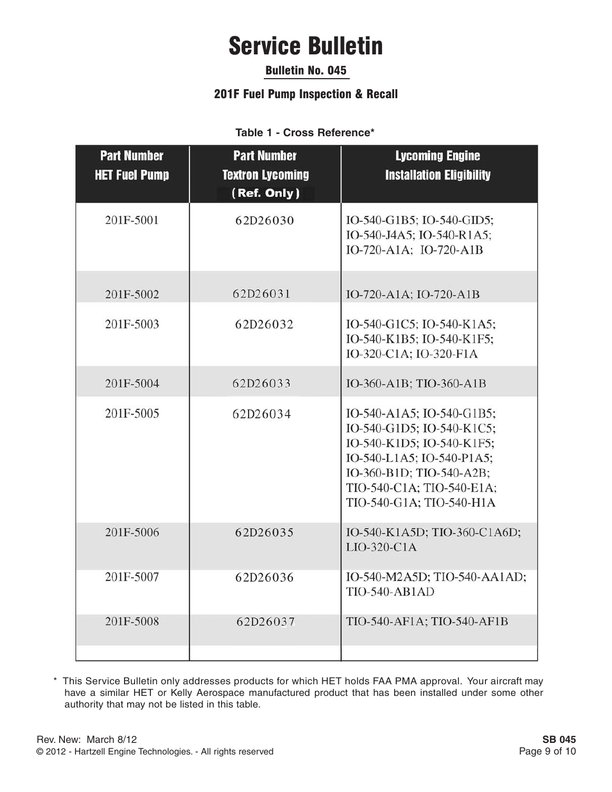### Bulletin No. 045

#### 201F Fuel Pump Inspection & Recall

#### **Table 1 - Cross Reference\***

| <b>Part Number</b><br><b>HET Fuel Pump</b> | <b>Part Number</b><br><b>Textron Lycoming</b><br>(Ref. Only) | <b>Lycoming Engine</b><br><b>Installation Eligibility</b>                                                                                                                                             |  |
|--------------------------------------------|--------------------------------------------------------------|-------------------------------------------------------------------------------------------------------------------------------------------------------------------------------------------------------|--|
| 201F-5001                                  | 62D26030                                                     | IO-540-G1B5; IO-540-GID5;<br>IO-540-J4A5; IO-540-R1A5;<br>IO-720-A1A; IO-720-A1B                                                                                                                      |  |
| 201F-5002                                  | 62D26031                                                     | IO-720-A1A; IO-720-A1B                                                                                                                                                                                |  |
| 201F-5003                                  | 62D26032                                                     | IO-540-G1C5; IO-540-K1A5;<br>IO-540-K1B5; IO-540-K1F5;<br>IO-320-C1A; IO-320-F1A                                                                                                                      |  |
| 201F-5004                                  | 62D26033                                                     | IO-360-A1B; TIO-360-A1B                                                                                                                                                                               |  |
| 201F-5005                                  | 62D26034                                                     | IO-540-A1A5; IO-540-G1B5;<br>IO-540-G1D5; IO-540-K1C5;<br>IO-540-K1D5; IO-540-K1F5;<br>IO-540-L1A5; IO-540-P1A5;<br>IO-360-B1D; TIO-540-A2B;<br>TIO-540-C1A; TIO-540-E1A;<br>TIO-540-G1A; TIO-540-H1A |  |
| 201F-5006                                  | 62D26035                                                     | IO-540-K1A5D; TIO-360-C1A6D;<br>LIO-320-C1A                                                                                                                                                           |  |
| 201F-5007                                  | 62D26036                                                     | IO-540-M2A5D; TIO-540-AA1AD;<br><b>TIO-540-AB1AD</b>                                                                                                                                                  |  |
| 201F-5008                                  | 62D26037                                                     | TIO-540-AF1A; TIO-540-AF1B                                                                                                                                                                            |  |

\* This Service Bulletin only addresses products for which HET holds FAA PMA approval. Your aircraft may have a similar HET or Kelly Aerospace manufactured product that has been installed under some other authority that may not be listed in this table.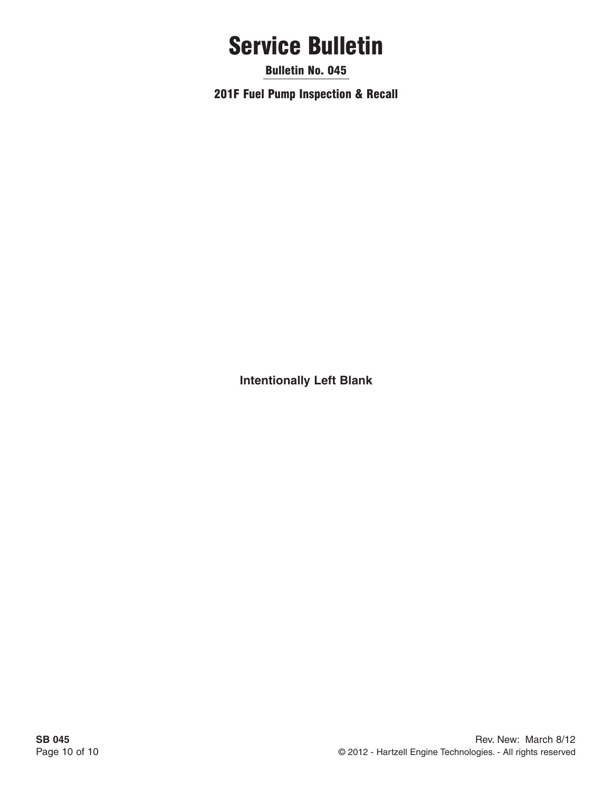Bulletin No. 045

201F Fuel Pump Inspection & Recall

**Intentionally Left Blank**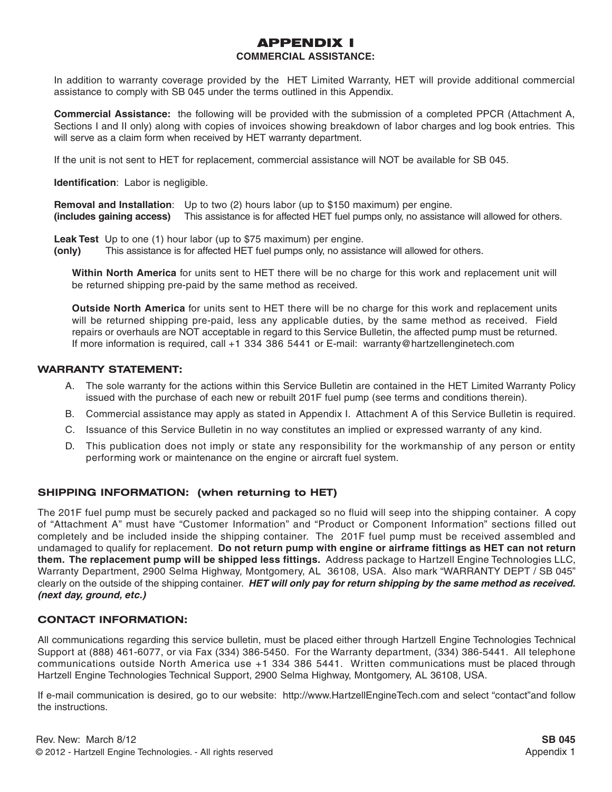#### APPENDIX I **COMMERCIAL ASSISTANCE:**

In addition to warranty coverage provided by the HET Limited Warranty, HET will provide additional commercial assistance to comply with SB 045 under the terms outlined in this Appendix.

**Commercial Assistance:** the following will be provided with the submission of a completed PPCR (Attachment A, Sections I and II only) along with copies of invoices showing breakdown of labor charges and log book entries. This will serve as a claim form when received by HET warranty department.

If the unit is not sent to HET for replacement, commercial assistance will NOT be available for SB 045.

**Identification**: Labor is negligible.

**Removal and Installation**: Up to two (2) hours labor (up to \$150 maximum) per engine. **(includes gaining access)** This assistance is for affected HET fuel pumps only, no assistance will allowed for others.

**Leak Test** Up to one (1) hour labor (up to \$75 maximum) per engine.

**(only)** This assistance is for affected HET fuel pumps only, no assistance will allowed for others.

**Within North America** for units sent to HET there will be no charge for this work and replacement unit will be returned shipping pre-paid by the same method as received.

**Outside North America** for units sent to HET there will be no charge for this work and replacement units will be returned shipping pre-paid, less any applicable duties, by the same method as received. Field repairs or overhauls are NOT acceptable in regard to this Service Bulletin, the affected pump must be returned. If more information is required, call +1 334 386 5441 or E-mail: warranty@hartzellenginetech.com

#### **WARRANTY STATEMENT:**

- A. The sole warranty for the actions within this Service Bulletin are contained in the HET Limited Warranty Policy issued with the purchase of each new or rebuilt 201F fuel pump (see terms and conditions therein).
- B. Commercial assistance may apply as stated in Appendix I. Attachment A of this Service Bulletin is required.
- C. Issuance of this Service Bulletin in no way constitutes an implied or expressed warranty of any kind.
- D. This publication does not imply or state any responsibility for the workmanship of any person or entity performing work or maintenance on the engine or aircraft fuel system.

#### **SHIPPING INFORMATION: (when returning to HET)**

The 201F fuel pump must be securely packed and packaged so no fluid will seep into the shipping container. A copy of "Attachment A" must have "Customer Information" and "Product or Component Information" sections filled out completely and be included inside the shipping container. The 201F fuel pump must be received assembled and undamaged to qualify for replacement. **Do not return pump with engine or airframe fittings as HET can not return them. The replacement pump will be shipped less fittings.** Address package to Hartzell Engine Technologies LLC, Warranty Department, 2900 Selma Highway, Montgomery, AL 36108, USA. Also mark "WARRANTY DEPT / SB 045" clearly on the outside of the shipping container. **HET will only pay for return shipping by the same method as received. (next day, ground, etc.)**

#### **CONTACT INFORMATION:**

All communications regarding this service bulletin, must be placed either through Hartzell Engine Technologies Technical Support at (888) 461-6077, or via Fax (334) 386-5450. For the Warranty department, (334) 386-5441. All telephone communications outside North America use +1 334 386 5441. Written communications must be placed through Hartzell Engine Technologies Technical Support, 2900 Selma Highway, Montgomery, AL 36108, USA.

If e-mail communication is desired, go to our website: http://www.HartzellEngineTech.com and select "contact"and follow the instructions.